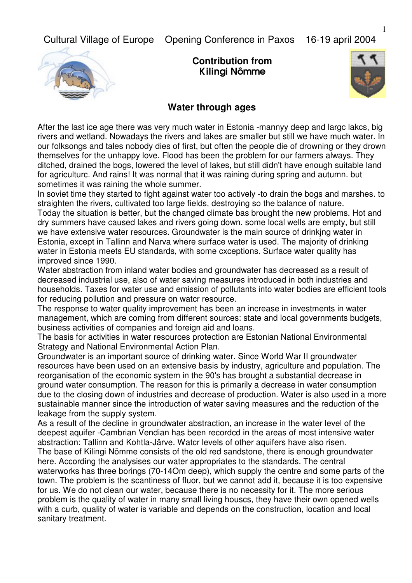Cultural Village of Europe Opening Conference in Paxos 16-19 april 2004



**Contribution from**  Kilingi Nômme



## **Water through ages**

After the last ice age there was very much water in Estonia -mannyy deep and largc lakcs, big rivers and wetland. Nowadays the rivers and lakes are smaller but still we have much water. In our folksongs and tales nobody dies of first, but often the people die of drowning or they drown themselves for the unhappy love. Flood has been the problem for our farmers always. They ditched, drained the bogs, lowered the level of lakes, but still didn't have enough suitable land for agriculturc. And rains! It was normal that it was raining during spring and autumn. but sometimes it was raining the whole summer.

In soviet time they started to fight against water too actively -to drain the bogs and marshes. to straighten the rivers, cultivated too large fields, destroving so the balance of nature.

Today the situation is better, but the changed climate bas brought the new problems. Hot and dry summers have caused lakes and rivers going down. some local wells are empty, but still we have extensive water resources. Groundwater is the main source of drinkjng water in Estonia, except in Tallinn and Narva where surface water is used. The majority of drinking water in Estonia meets EU standards, with some cxceptions. Surface water quality has improved since 1990.

Water abstraction from inland water bodies and groundwater has decreased as a result of decreased industrial use, also of water saving measures introduced in both industries and households. Taxes for water use and emission of pollutants into water bodies are efficient tools for reducing pollution and pressure on watcr resource.

The response to water quality improvement has been an increase in investments in water management, which are coming from different sources: state and local governments budgets, business activities of companies and foreign aid and loans.

The basis for activities in water resources protection are Estonian National Environmental Strategy and National Environmental Action Plan.

Groundwater is an important source of drinking water. Since World War II groundwater resources have been used on an extensive basis by industry, agriculture and population. The reorganisation of the economic system in the 90's has brought a substantial decrease in ground water consumption. The reason for this is primarily a decrease in water consumption due to the closing down of industries and decrease of production. Water is also used in a more sustainable manner since the introduction of water saving measures and the reduction of the leakage from the supply system.

As a result of the decline in groundwater abstraction, an increase in the water level of the deepest aquifer -Cambrian Vendian has been recordcd in the areas of most intensive water abstraction: Tallinn and Kohtla-Järve. Watcr levels of other aquifers have also risen.

The base of Kilingi Nõmme consists of the old red sandstone, there is enough groundwater here. According the analysises our water appropriates to the standards. The central waterworks has three borings (70-14Om deep), which supply the centre and some parts of the town. The problem is the scantiness of fluor, but we cannot add it, because it is too expensive for us. We do not clean our water, because there is no necessity for it. The more serious problem is the quality of water in many small living houscs, they have their own opened wells with a curb, quality of water is variable and depends on the construction, location and local sanitary treatment.

1